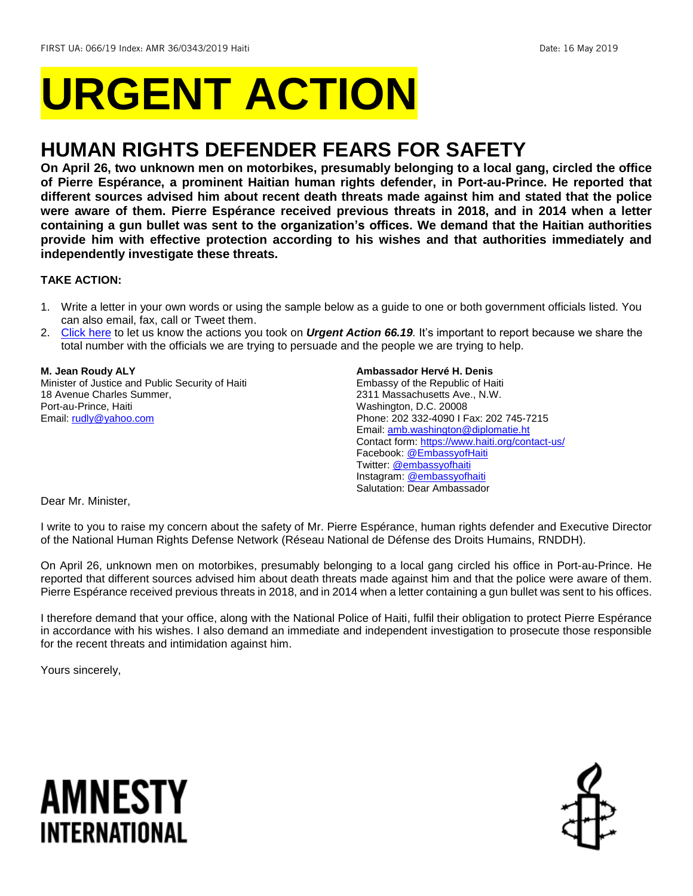# **URGENT ACTION**

# **HUMAN RIGHTS DEFENDER FEARS FOR SAFETY**

**On April 26, two unknown men on motorbikes, presumably belonging to a local gang, circled the office of Pierre Espérance, a prominent Haitian human rights defender, in Port-au-Prince. He reported that different sources advised him about recent death threats made against him and stated that the police were aware of them. Pierre Espérance received previous threats in 2018, and in 2014 when a letter containing a gun bullet was sent to the organization's offices. We demand that the Haitian authorities provide him with effective protection according to his wishes and that authorities immediately and independently investigate these threats.**

# **TAKE ACTION:**

- 1. Write a letter in your own words or using the sample below as a guide to one or both government officials listed. You can also email, fax, call or Tweet them.
- 2. [Click here](https://www.amnestyusa.org/report-urgent-actions/) to let us know the actions you took on *Urgent Action 66.19.* It's important to report because we share the total number with the officials we are trying to persuade and the people we are trying to help.

# **M. Jean Roudy ALY**

Minister of Justice and Public Security of Haiti 18 Avenue Charles Summer, Port-au-Prince, Haiti Email: [rudly@yahoo.com](mailto:rudly@yahoo.com)

#### **Ambassador Hervé H. Denis**

Embassy of the Republic of Haiti 2311 Massachusetts Ave., N.W. Washington, D.C. 20008 Phone: 202 332-4090 I Fax: 202 745-7215 Email[: amb.washington@diplomatie.ht](mailto:amb.washington@diplomatie.ht) Contact form[: https://www.haiti.org/contact-us/](https://www.haiti.org/contact-us/) Facebook[: @EmbassyofHaiti](https://www.facebook.com/EmbassyofHaiti) Twitter: [@embassyofhaiti](https://twitter.com/embassyofhaiti) Instagram: [@embassyofhaiti](https://www.instagram.com/embassyofhaiti/) Salutation: Dear Ambassador

Dear Mr. Minister,

I write to you to raise my concern about the safety of Mr. Pierre Espérance, human rights defender and Executive Director of the National Human Rights Defense Network (Réseau National de Défense des Droits Humains, RNDDH).

On April 26, unknown men on motorbikes, presumably belonging to a local gang circled his office in Port-au-Prince. He reported that different sources advised him about death threats made against him and that the police were aware of them. Pierre Espérance received previous threats in 2018, and in 2014 when a letter containing a gun bullet was sent to his offices.

I therefore demand that your office, along with the National Police of Haiti, fulfil their obligation to protect Pierre Espérance in accordance with his wishes. I also demand an immediate and independent investigation to prosecute those responsible for the recent threats and intimidation against him.

Yours sincerely,